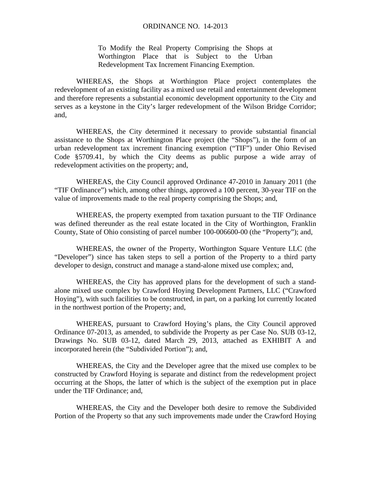To Modify the Real Property Comprising the Shops at Worthington Place that is Subject to the Urban Redevelopment Tax Increment Financing Exemption.

WHEREAS, the Shops at Worthington Place project contemplates the redevelopment of an existing facility as a mixed use retail and entertainment development and therefore represents a substantial economic development opportunity to the City and serves as a keystone in the City's larger redevelopment of the Wilson Bridge Corridor; and,

WHEREAS, the City determined it necessary to provide substantial financial assistance to the Shops at Worthington Place project (the "Shops"), in the form of an urban redevelopment tax increment financing exemption ("TIF") under Ohio Revised Code §5709.41, by which the City deems as public purpose a wide array of redevelopment activities on the property; and,

WHEREAS, the City Council approved Ordinance 47-2010 in January 2011 (the "TIF Ordinance") which, among other things, approved a 100 percent, 30-year TIF on the value of improvements made to the real property comprising the Shops; and,

WHEREAS, the property exempted from taxation pursuant to the TIF Ordinance was defined thereunder as the real estate located in the City of Worthington, Franklin County, State of Ohio consisting of parcel number 100-006600-00 (the "Property"); and,

WHEREAS, the owner of the Property, Worthington Square Venture LLC (the "Developer") since has taken steps to sell a portion of the Property to a third party developer to design, construct and manage a stand-alone mixed use complex; and,

WHEREAS, the City has approved plans for the development of such a standalone mixed use complex by Crawford Hoying Development Partners, LLC ("Crawford Hoying"), with such facilities to be constructed, in part, on a parking lot currently located in the northwest portion of the Property; and,

WHEREAS, pursuant to Crawford Hoying's plans, the City Council approved Ordinance 07-2013, as amended, to subdivide the Property as per Case No. SUB 03-12, Drawings No. SUB 03-12, dated March 29, 2013, attached as EXHIBIT A and incorporated herein (the "Subdivided Portion"); and,

WHEREAS, the City and the Developer agree that the mixed use complex to be constructed by Crawford Hoying is separate and distinct from the redevelopment project occurring at the Shops, the latter of which is the subject of the exemption put in place under the TIF Ordinance; and,

WHEREAS, the City and the Developer both desire to remove the Subdivided Portion of the Property so that any such improvements made under the Crawford Hoying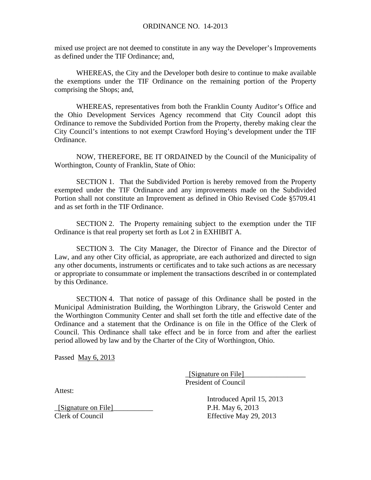mixed use project are not deemed to constitute in any way the Developer's Improvements as defined under the TIF Ordinance; and,

WHEREAS, the City and the Developer both desire to continue to make available the exemptions under the TIF Ordinance on the remaining portion of the Property comprising the Shops; and,

WHEREAS, representatives from both the Franklin County Auditor's Office and the Ohio Development Services Agency recommend that City Council adopt this Ordinance to remove the Subdivided Portion from the Property, thereby making clear the City Council's intentions to not exempt Crawford Hoying's development under the TIF Ordinance.

NOW, THEREFORE, BE IT ORDAINED by the Council of the Municipality of Worthington, County of Franklin, State of Ohio:

SECTION 1. That the Subdivided Portion is hereby removed from the Property exempted under the TIF Ordinance and any improvements made on the Subdivided Portion shall not constitute an Improvement as defined in Ohio Revised Code §5709.41 and as set forth in the TIF Ordinance.

SECTION 2. The Property remaining subject to the exemption under the TIF Ordinance is that real property set forth as Lot 2 in EXHIBIT A.

SECTION 3. The City Manager, the Director of Finance and the Director of Law, and any other City official, as appropriate, are each authorized and directed to sign any other documents, instruments or certificates and to take such actions as are necessary or appropriate to consummate or implement the transactions described in or contemplated by this Ordinance.

SECTION 4. That notice of passage of this Ordinance shall be posted in the Municipal Administration Building, the Worthington Library, the Griswold Center and the Worthington Community Center and shall set forth the title and effective date of the Ordinance and a statement that the Ordinance is on file in the Office of the Clerk of Council. This Ordinance shall take effect and be in force from and after the earliest period allowed by law and by the Charter of the City of Worthington, Ohio.

Passed May 6, 2013

 $[\text{Sigma}$  on File $]\_$ President of Council

Attest:

\_[Signature on File]\_\_\_\_\_\_\_\_\_\_\_ P.H. May 6, 2013

 Introduced April 15, 2013 Clerk of Council Effective May 29, 2013